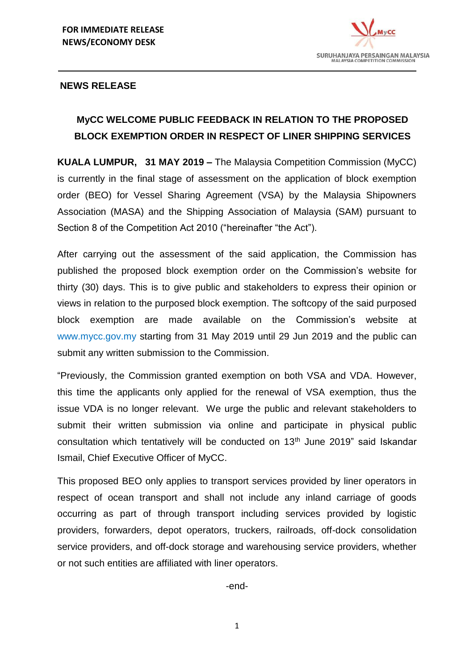

#### **NEWS RELEASE**

## **MyCC WELCOME PUBLIC FEEDBACK IN RELATION TO THE PROPOSED BLOCK EXEMPTION ORDER IN RESPECT OF LINER SHIPPING SERVICES**

**KUALA LUMPUR, 31 MAY 2019 –** The Malaysia Competition Commission (MyCC) is currently in the final stage of assessment on the application of block exemption order (BEO) for Vessel Sharing Agreement (VSA) by the Malaysia Shipowners Association (MASA) and the Shipping Association of Malaysia (SAM) pursuant to Section 8 of the Competition Act 2010 ("hereinafter "the Act").

After carrying out the assessment of the said application, the Commission has published the proposed block exemption order on the Commission's website for thirty (30) days. This is to give public and stakeholders to express their opinion or views in relation to the purposed block exemption. The softcopy of the said purposed block exemption are made available on the Commission's website at www.mycc.gov.my starting from 31 May 2019 until 29 Jun 2019 and the public can submit any written submission to the Commission.

"Previously, the Commission granted exemption on both VSA and VDA. However, this time the applicants only applied for the renewal of VSA exemption, thus the issue VDA is no longer relevant. We urge the public and relevant stakeholders to submit their written submission via online and participate in physical public consultation which tentatively will be conducted on 13<sup>th</sup> June 2019" said Iskandar Ismail, Chief Executive Officer of MyCC.

This proposed BEO only applies to transport services provided by liner operators in respect of ocean transport and shall not include any inland carriage of goods occurring as part of through transport including services provided by logistic providers, forwarders, depot operators, truckers, railroads, off-dock consolidation service providers, and off-dock storage and warehousing service providers, whether or not such entities are affiliated with liner operators.

-end-

1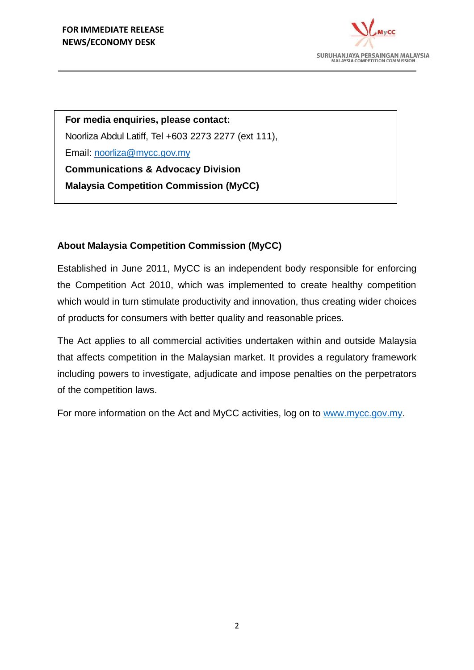

**For media enquiries, please contact:** Noorliza Abdul Latiff, Tel +603 2273 2277 (ext 111), Email: [noorliza@mycc.gov.my](mailto:noorliza@mycc.gov.my) **Communications & Advocacy Division Malaysia Competition Commission (MyCC)**

## **About Malaysia Competition Commission (MyCC)**

Established in June 2011, MyCC is an independent body responsible for enforcing the Competition Act 2010, which was implemented to create healthy competition which would in turn stimulate productivity and innovation, thus creating wider choices of products for consumers with better quality and reasonable prices.

The Act applies to all commercial activities undertaken within and outside Malaysia that affects competition in the Malaysian market. It provides a regulatory framework including powers to investigate, adjudicate and impose penalties on the perpetrators of the competition laws.

For more information on the Act and MyCC activities, log on to [www.mycc.gov.my.](http://www.mycc.gov.my/)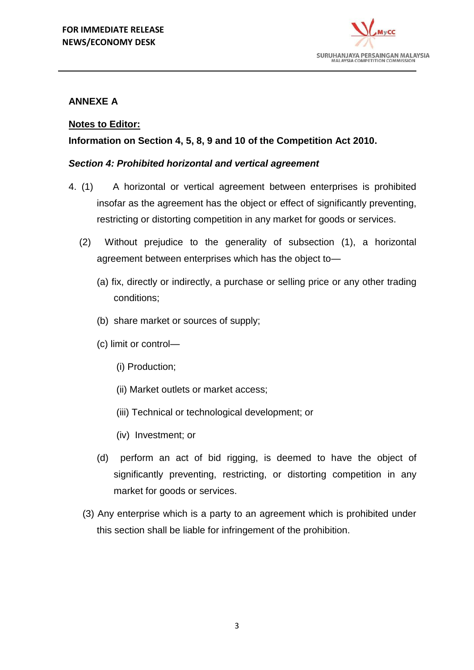

## **ANNEXE A**

## **Notes to Editor:**

## **Information on Section 4, 5, 8, 9 and 10 of the Competition Act 2010.**

### *Section 4: Prohibited horizontal and vertical agreement*

- 4. (1) A horizontal or vertical agreement between enterprises is prohibited insofar as the agreement has the object or effect of significantly preventing, restricting or distorting competition in any market for goods or services.
	- (2) Without prejudice to the generality of subsection (1), a horizontal agreement between enterprises which has the object to—
		- (a) fix, directly or indirectly, a purchase or selling price or any other trading conditions;
		- (b) share market or sources of supply;
		- (c) limit or control—
			- (i) Production;
			- (ii) Market outlets or market access;
			- (iii) Technical or technological development; or
			- (iv) Investment; or
		- (d) perform an act of bid rigging, is deemed to have the object of significantly preventing, restricting, or distorting competition in any market for goods or services.
	- (3) Any enterprise which is a party to an agreement which is prohibited under this section shall be liable for infringement of the prohibition.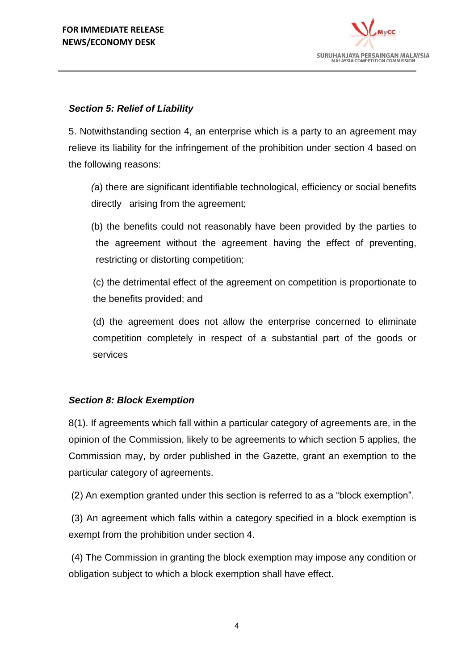

## *Section 5: Relief of Liability*

5. Notwithstanding section 4, an enterprise which is a party to an agreement may relieve its liability for the infringement of the prohibition under section 4 based on the following reasons:

*(*a) there are significant identifiable technological, efficiency or social benefits directly arising from the agreement;

(b) the benefits could not reasonably have been provided by the parties to the agreement without the agreement having the effect of preventing, restricting or distorting competition;

(c) the detrimental effect of the agreement on competition is proportionate to the benefits provided; and

(d) the agreement does not allow the enterprise concerned to eliminate competition completely in respect of a substantial part of the goods or services

## *Section 8: Block Exemption*

8(1). If agreements which fall within a particular category of agreements are, in the opinion of the Commission, likely to be agreements to which section 5 applies, the Commission may, by order published in the Gazette, grant an exemption to the particular category of agreements.

(2) An exemption granted under this section is referred to as a "block exemption".

(3) An agreement which falls within a category specified in a block exemption is exempt from the prohibition under section 4.

(4) The Commission in granting the block exemption may impose any condition or obligation subject to which a block exemption shall have effect.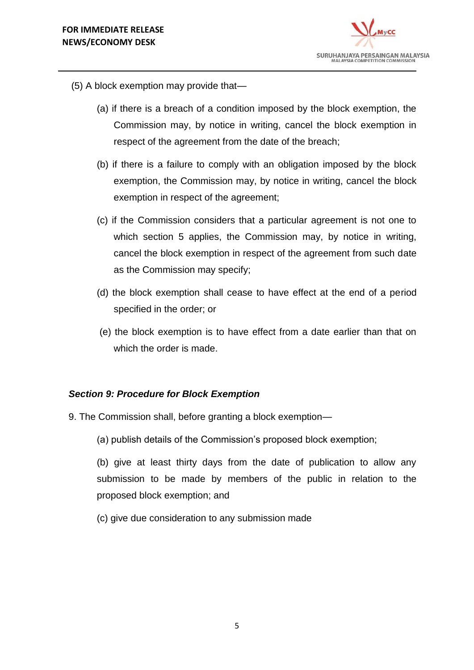

- (5) A block exemption may provide that—
	- (a) if there is a breach of a condition imposed by the block exemption, the Commission may, by notice in writing, cancel the block exemption in respect of the agreement from the date of the breach;
	- (b) if there is a failure to comply with an obligation imposed by the block exemption, the Commission may, by notice in writing, cancel the block exemption in respect of the agreement;
	- (c) if the Commission considers that a particular agreement is not one to which section 5 applies, the Commission may, by notice in writing, cancel the block exemption in respect of the agreement from such date as the Commission may specify;
	- (d) the block exemption shall cease to have effect at the end of a period specified in the order; or
	- (e) the block exemption is to have effect from a date earlier than that on which the order is made.

#### *Section 9: Procedure for Block Exemption*

- 9. The Commission shall, before granting a block exemption—
	- (a) publish details of the Commission's proposed block exemption;

(b) give at least thirty days from the date of publication to allow any submission to be made by members of the public in relation to the proposed block exemption; and

(c) give due consideration to any submission made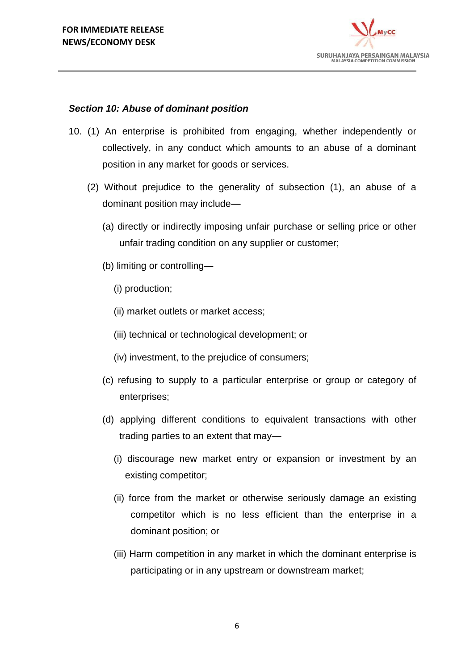

### *Section 10: Abuse of dominant position*

- 10. (1) An enterprise is prohibited from engaging, whether independently or collectively, in any conduct which amounts to an abuse of a dominant position in any market for goods or services.
	- (2) Without prejudice to the generality of subsection (1), an abuse of a dominant position may include—
		- (a) directly or indirectly imposing unfair purchase or selling price or other unfair trading condition on any supplier or customer;
		- (b) limiting or controlling—
			- (i) production;
			- (ii) market outlets or market access;
			- (iii) technical or technological development; or
			- (iv) investment, to the prejudice of consumers;
		- (c) refusing to supply to a particular enterprise or group or category of enterprises;
		- (d) applying different conditions to equivalent transactions with other trading parties to an extent that may—
			- (i) discourage new market entry or expansion or investment by an existing competitor;
			- (ii) force from the market or otherwise seriously damage an existing competitor which is no less efficient than the enterprise in a dominant position; or
			- (iii) Harm competition in any market in which the dominant enterprise is participating or in any upstream or downstream market;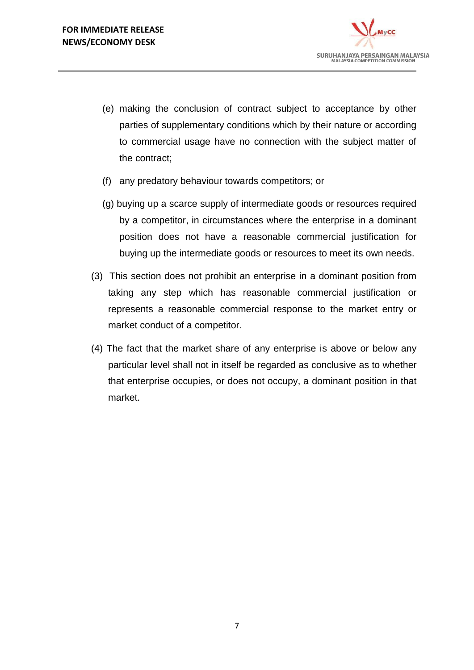

- (e) making the conclusion of contract subject to acceptance by other parties of supplementary conditions which by their nature or according to commercial usage have no connection with the subject matter of the contract;
- (f) any predatory behaviour towards competitors; or
- (g) buying up a scarce supply of intermediate goods or resources required by a competitor, in circumstances where the enterprise in a dominant position does not have a reasonable commercial justification for buying up the intermediate goods or resources to meet its own needs.
- (3) This section does not prohibit an enterprise in a dominant position from taking any step which has reasonable commercial justification or represents a reasonable commercial response to the market entry or market conduct of a competitor.
- (4) The fact that the market share of any enterprise is above or below any particular level shall not in itself be regarded as conclusive as to whether that enterprise occupies, or does not occupy, a dominant position in that market.